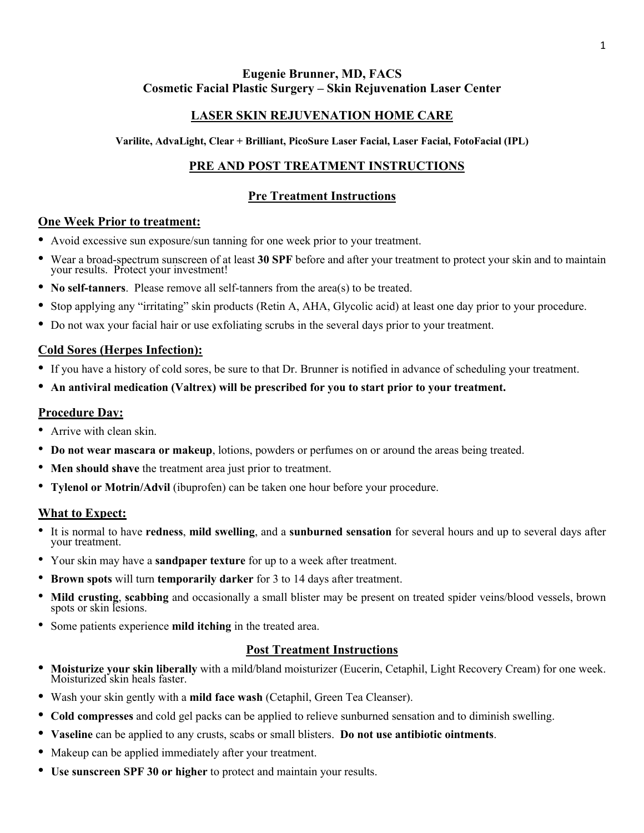# **Eugenie Brunner, MD, FACS Cosmetic Facial Plastic Surgery – Skin Rejuvenation Laser Center**

# **LASER SKIN REJUVENATION HOME CARE**

**Varilite, AdvaLight, Clear + Brilliant, PicoSure Laser Facial, Laser Facial, FotoFacial (IPL)**

# **PRE AND POST TREATMENT INSTRUCTIONS**

# **Pre Treatment Instructions**

#### **One Week Prior to treatment:**

- Avoid excessive sun exposure/sun tanning for one week prior to your treatment.
- Wear a broad-spectrum sunscreen of at least **30 SPF** before and after your treatment to protect your skin and to maintain your results. Protect your investment!
- **No self-tanners**. Please remove all self-tanners from the area(s) to be treated.
- Stop applying any "irritating" skin products (Retin A, AHA, Glycolic acid) at least one day prior to your procedure.
- Do not wax your facial hair or use exfoliating scrubs in the several days prior to your treatment.

# **Cold Sores (Herpes Infection):**

- If you have a history of cold sores, be sure to that Dr. Brunner is notified in advance of scheduling your treatment.
- **An antiviral medication (Valtrex) will be prescribed for you to start prior to your treatment.**

# **Procedure Day:**

- Arrive with clean skin.
- **Do not wear mascara or makeup**, lotions, powders or perfumes on or around the areas being treated.
- **Men should shave** the treatment area just prior to treatment.
- **Tylenol or Motrin/Advil** (ibuprofen) can be taken one hour before your procedure.

## **What to Expect:**

- It is normal to have **redness**, **mild swelling**, and a **sunburned sensation** for several hours and up to several days after your treatment.
- Your skin may have a **sandpaper texture** for up to a week after treatment.
- **Brown spots** will turn **temporarily darker** for 3 to 14 days after treatment.
- **Mild crusting**, **scabbing** and occasionally a small blister may be present on treated spider veins/blood vessels, brown spots or skin lesions.
- Some patients experience **mild itching** in the treated area.

## **Post Treatment Instructions**

- **Moisturize your skin liberally** with <sup>a</sup> mild/bland moisturizer (Eucerin, Cetaphil, Light Recovery Cream) for one week. Moisturized skin heals faster.
- Wash your skin gently with a **mild face wash** (Cetaphil, Green Tea Cleanser).
- **Cold compresses** and cold gel packs can be applied to relieve sunburned sensation and to diminish swelling.
- **Vaseline** can be applied to any crusts, scabs or small blisters. **Do not use antibiotic ointments**.
- Makeup can be applied immediately after your treatment.
- **Use sunscreen SPF 30 or higher** to protect and maintain your results.